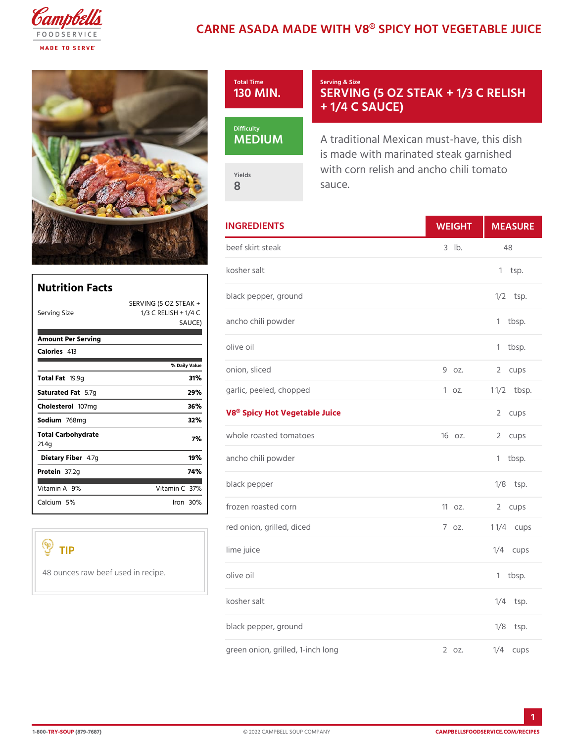## CARNE ASADA MADE WITH V8® SPICY HO



|                                   |                                        | <b>INGREDIENTS</b>            | WEIGH      | MEASU         |
|-----------------------------------|----------------------------------------|-------------------------------|------------|---------------|
|                                   |                                        | beef skirt steak              | $3$ $1b$ . | 48            |
|                                   |                                        | kosher salt                   |            | $1$ tsp.      |
| <b>Nutrition Facts</b>            | SERVING (5 OZ STEAK +                  | black pepper, ground          |            | $1/2$ tsp.    |
| Serving Size                      | 1/3 C RELISH + $1/4$ C<br>S A U C   E  | ancho chili powder            |            | $1$ tbsp.     |
| Amount Per Serving<br>Calorie4s13 |                                        | olive oil                     |            | $1$ tbsp.     |
|                                   | % Daily Vallue<br>31%                  | onion, sliced                 | 9 oz.      | 2 cups        |
| Total Fa9.9g<br>Saturated 5F. ag  | 29%                                    | garlic, peeled, chopped       | 1 oz.      | $1 \t1/2bsp.$ |
| Cholestet@17mg<br>Sodium768mg     | 36%<br>32%                             | V8® Spicy Hot Vegetable Juice |            | 2 cups        |
| Total Carbohydrate<br>21.4g       | 7%                                     | whole roasted tomatoes        | 160z.      | 2 cups        |
| Dietary F4ib7eg                   | 19%                                    | ancho chili powder            |            | $1$ tbsp.     |
| Protei87.2g<br>Vitamin9A%         | 74%<br>Vitamin3 $C$ %                  | black pepper                  |            | $1/8$ tsp.    |
| Calcium <sup>5</sup> %            | $l$ ron $30\%$                         | frozen roasted corn           | 110z.      | 2 cups        |
|                                   |                                        | red onion, grilled, diced     | 7.0Z.      | 1 $1/4$ cups  |
| TIP                               |                                        | lime juice                    |            | $1/4$ cups    |
|                                   | 48 ounces raw beef used in recjnee oil |                               |            | 1 tbsp.       |
|                                   |                                        | kosher salt                   |            | $1/4$ tsp.    |
|                                   |                                        |                               |            |               |

black pepper, ground  $1/8$   $tsp.$ green onion, grilled, 1-inch long 2 oz. 1/4 cups